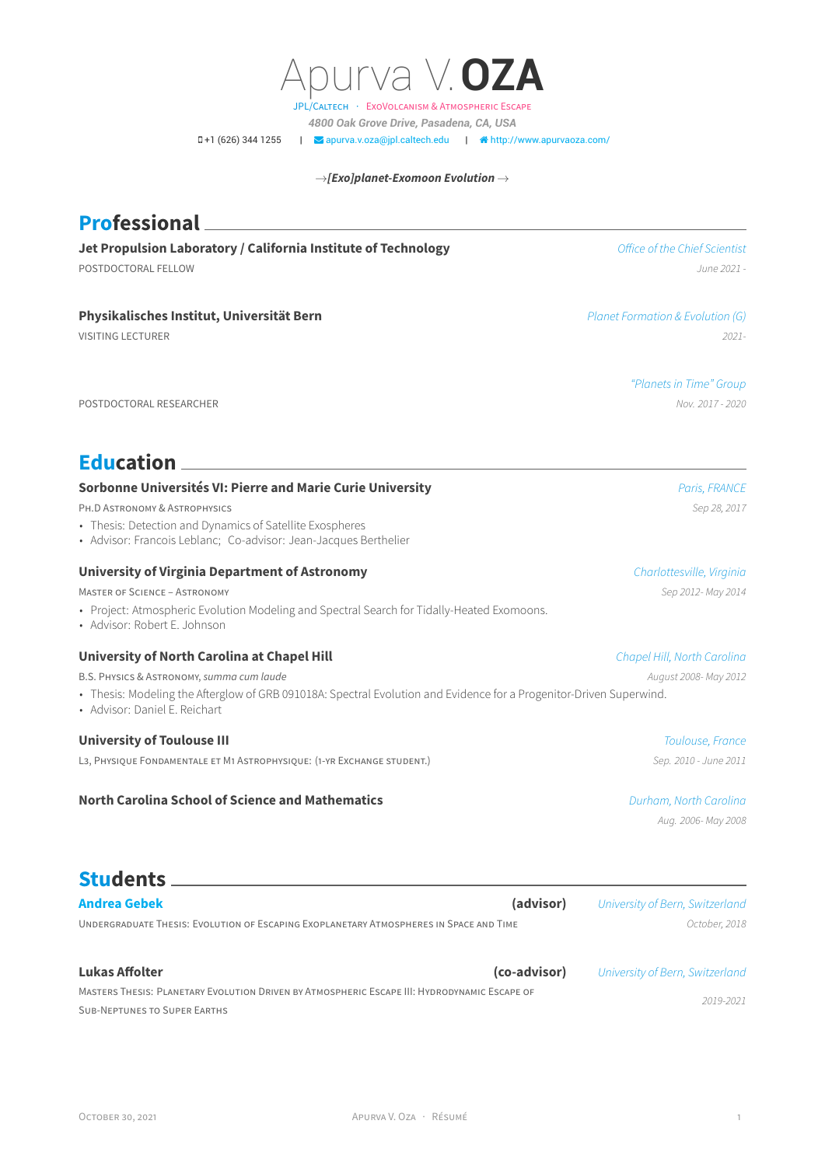OCTOBER 30, 2021 APURVA V. OZA · RÉSUMÉ 1

POSTDOCTORAL RESEARCHER *Nov. 2017 - 2020*

**Professional**

# **Education**

## **Sorbonne Universités VI: Pierre and Marie Curie University** *Paris, FRANCE*

PH.D ASTRONOMY & ASTROPHYSICS *Sep 28, 2017*

- Thesis: Detection and Dynamics of Satellite Exospheres
- Advisor: Francois Leblanc; Co-advisor: Jean-Jacques Berthelier

#### **University of Virginia Department of Astronomy** *Charlottesville, Virginia*

MASTER OF SCIENCE – ASTRONOMY *Sep 2012- May 2014*

• Project: Atmospheric Evolution Modeling and Spectral Search for Tidally-Heated Exomoons.

MASTERS THESIS: PLANETARY EVOLUTION DRIVEN BY ATMOSPHERIC ESCAPE III: HYDRODYNAMIC ESCAPE OF

• Advisor: Robert E. Johnson

#### **University of North Carolina at Chapel Hill** *Chapel Hill, North Carolina*

B.S. PHYSICS & ASTRONOMY, *summa cum laude August 2008- May 2012*

- Thesis: Modeling the Afterglow of GRB 091018A: Spectral Evolution and Evidence for a Progenitor-Driven Superwind.
- Advisor: Daniel E. Reichart

#### **University of Toulouse III** *Toulouse, France*

L3, PHYSIQUE FONDAMENTALE ET M1 ASTROPHYSIQUE: (1-YR EXCHANGE STUDENT.) *Sep. 2010 - June 2011*

# **North Carolina School of Science and Mathematics** *Durham, North Carolina*

**Jet Propulsion Laboratory / California Institute of Technology** *Office of the Chief Scientist* POSTDOCTORAL FELLOW *June 2021 -*

**Physikalisches Institut, Universität Bern** *Planet Formation & Evolution (G)*

VISITING LECTURER *2021-*

*"Planets in Time" Group*

*Aug. 2006- May 2008*

**[Andrea Gebek](https://andreagebek.com/) (advisor)** *University of Bern, Switzerland* UNDERGRADUATE THESIS: EVOLUTION OF ESCAPING EXOPLANETARY ATMOSPHERES IN SPACE AND TIME *October, 2018*

**Students**

SUB-NEPTUNES TO SUPER EARTHS

**Lukas Affolter (co-advisor)** *University of Bern, Switzerland 2019-2021*



→*[Exo]planet-Exomoon Evolution* →

*4800 Oak Grove Drive, Pasadena, CA, USA*

**0+1 (626) 344 1255 | ⊘apurva.v.oza**@jpl.caltech.edu | **A** [http://www.apurvaoza.com/](http://http://www.apurvaoza.com/)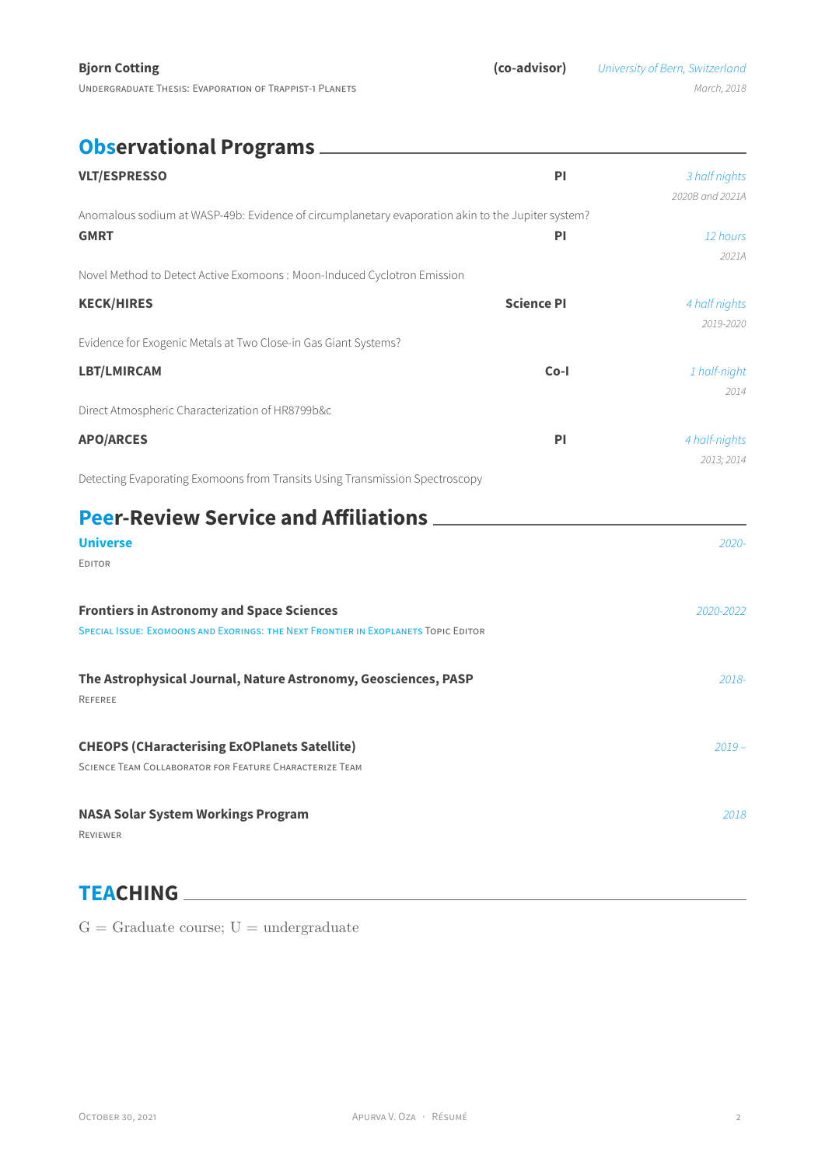# **Observational Programs**

| <b>VLT/ESPRESSO</b>                                                                                                                           | <b>PI</b>         | 3 half nights<br>2020B and 2021A |
|-----------------------------------------------------------------------------------------------------------------------------------------------|-------------------|----------------------------------|
| Anomalous sodium at WASP-49b: Evidence of circumplanetary evaporation akin to the Jupiter system?<br><b>GMRT</b>                              | PI                | 12 hours<br>2021A                |
| Novel Method to Detect Active Exomoons: Moon-Induced Cyclotron Emission                                                                       |                   |                                  |
| <b>KECK/HIRES</b>                                                                                                                             | <b>Science PI</b> | 4 half nights<br>2019-2020       |
| Evidence for Exogenic Metals at Two Close-in Gas Giant Systems?                                                                               |                   |                                  |
| LBT/LMIRCAM                                                                                                                                   | $Co-I$            | 1 half-night<br>2014             |
| Direct Atmospheric Characterization of HR8799b&c                                                                                              |                   |                                  |
| <b>APO/ARCES</b>                                                                                                                              | PI                | 4 half-nights<br>2013; 2014      |
| Detecting Evaporating Exomoons from Transits Using Transmission Spectroscopy                                                                  |                   |                                  |
| <b>Peer-Review Service and Affiliations</b>                                                                                                   |                   |                                  |
| <b>Universe</b>                                                                                                                               |                   | $2020 -$                         |
| <b>EDITOR</b>                                                                                                                                 |                   |                                  |
| <b>Frontiers in Astronomy and Space Sciences</b><br><b>SPECIAL ISSUE: EXOMOONS AND EXORINGS: THE NEXT FRONTIER IN EXOPLANETS TOPIC EDITOR</b> |                   | 2020-2022                        |
| The Astrophysical Journal, Nature Astronomy, Geosciences, PASP<br>REFEREE                                                                     |                   | 2018-                            |
| <b>CHEOPS (CHaracterising ExOPlanets Satellite)</b><br>SCIENCE TEAM COLLABORATOR FOR FEATURE CHARACTERIZE TEAM                                |                   | $2019 -$                         |
| <b>NASA Solar System Workings Program</b><br><b>REVIEWER</b>                                                                                  |                   | 2018                             |

# **TEACHING**

 $G =$  Graduate course;  $U =$  undergraduate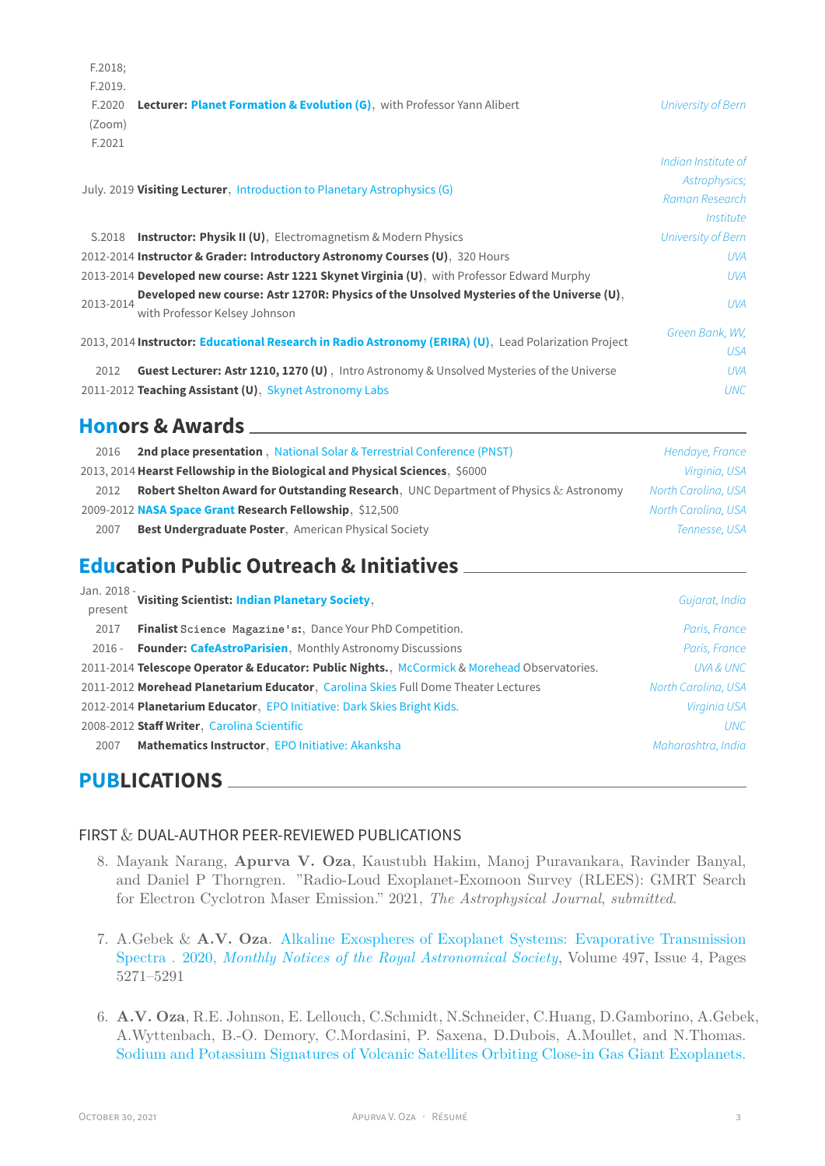|                                                                                    | F.2018; |                     |
|------------------------------------------------------------------------------------|---------|---------------------|
|                                                                                    | F.2019. |                     |
| <b>Lecturer: Planet Formation &amp; Evolution (G), with Professor Yann Alibert</b> | F.2020  | University of Bern  |
|                                                                                    | (Zoom)  |                     |
|                                                                                    | F.2021  |                     |
|                                                                                    |         | Indian Institute of |
| July. 2019 Visiting Lecturer, Introduction to Planetary Astrophysics (G)           |         | Astrophysics;       |
|                                                                                    |         | Raman Research      |
|                                                                                    |         | Institute           |
| <b>Instructor: Physik II (U)</b> , Electromagnetism & Modern Physics               | S.2018  | University of Bern  |

|           | 2012-2014 Instructor & Grader: Introductory Astronomy Courses (U), 320 Hours                                              | UVA                           |
|-----------|---------------------------------------------------------------------------------------------------------------------------|-------------------------------|
|           | 2013-2014 Developed new course: Astr 1221 Skynet Virginia (U), with Professor Edward Murphy                               | UVA                           |
| 2013-2014 | Developed new course: Astr 1270R: Physics of the Unsolved Mysteries of the Universe (U).<br>with Professor Kelsey Johnson | <b>UVA</b>                    |
|           | 2013, 2014 Instructor: Educational Research in Radio Astronomy (ERIRA) (U), Lead Polarization Project                     | Green Bank, WV.<br><b>USA</b> |
| 2012      | Guest Lecturer: Astr 1210, 1270 (U), Intro Astronomy & Unsolved Mysteries of the Universe                                 | <b>UVA</b>                    |
|           | 2011-2012 Teaching Assistant (U), Skynet Astronomy Labs                                                                   | <b>UNC</b>                    |

# **Honors & Awards**

| 2016 | <b>2nd place presentation</b> , National Solar & Terrestrial Conference (PNST)                  | Hendaye, France     |
|------|-------------------------------------------------------------------------------------------------|---------------------|
|      | 2013, 2014 Hearst Fellowship in the Biological and Physical Sciences, \$6000                    | Virginia, USA       |
| 2012 | <b>Robert Shelton Award for Outstanding Research, UNC Department of Physics &amp; Astronomy</b> | North Carolina, USA |
|      | 2009-2012 NASA Space Grant Research Fellowship, \$12,500                                        | North Carolina, USA |
| 2007 | <b>Best Undergraduate Poster, American Physical Society</b>                                     | Tennesse, USA       |

# **Education Public Outreach & Initiatives**

| Jan. 2018 - | Visiting Scientist: Indian Planetary Society,                                                | Gujarat, India      |
|-------------|----------------------------------------------------------------------------------------------|---------------------|
| present     |                                                                                              |                     |
| 2017        | <b>Finalist</b> Science Magazine's:, Dance Your PhD Competition.                             | Paris, France       |
| $2016 -$    | Founder: CafeAstroParisien, Monthly Astronomy Discussions                                    | Paris, France       |
|             | 2011-2014 Telescope Operator & Educator: Public Nights., McCormick & Morehead Observatories. | UVA & UNC           |
|             | 2011-2012 Morehead Planetarium Educator, Carolina Skies Full Dome Theater Lectures           | North Carolina, USA |
|             | 2012-2014 Planetarium Educator, EPO Initiative: Dark Skies Bright Kids.                      | Virginia USA        |
|             | 2008-2012 Staff Writer, Carolina Scientific                                                  | <b>UNC</b>          |
| 2007        | Mathematics Instructor, EPO Initiative: Akanksha                                             | Maharashtra, India  |
|             |                                                                                              |                     |

# **PUBLICATIONS**

# FIRST & DUAL-AUTHOR PEER-REVIEWED PUBLICATIONS

- 8. Mayank Narang, **Apurva V. Oza**, Kaustubh Hakim, Manoj Puravankara, Ravinder Banyal, and Daniel P Thorngren. "Radio-Loud Exoplanet-Exomoon Survey (RLEES): GMRT Search for Electron Cyclotron Maser Emission." 2021, *The Astrophysical Journal*, *submitted*.
- 7. A.Gebek & **A.V. Oza**. [Alkaline Exospheres of Exoplanet Systems: Evaporative Transmission](https://doi.org/10.1093/mnras/staa2193) Spectra . 2020, *[Monthly Notices of the Royal Astronomical Society](https://doi.org/10.1093/mnras/staa2193)*, Volume 497, Issue 4, Pages 5271–5291
- 6. **A.V. Oza**, R.E. Johnson, E. Lellouch, C.Schmidt, N.Schneider, C.Huang, D.Gamborino, A.Gebek, A.Wyttenbach, B.-O. Demory, C.Mordasini, P. Saxena, D.Dubois, A.Moullet, and N.Thomas. [Sodium and Potassium Signatures of Volcanic Satellites Orbiting Close-in Gas Giant Exoplanets.](https://iopscience.iop.org/article/10.3847/1538-4357/ab40cc)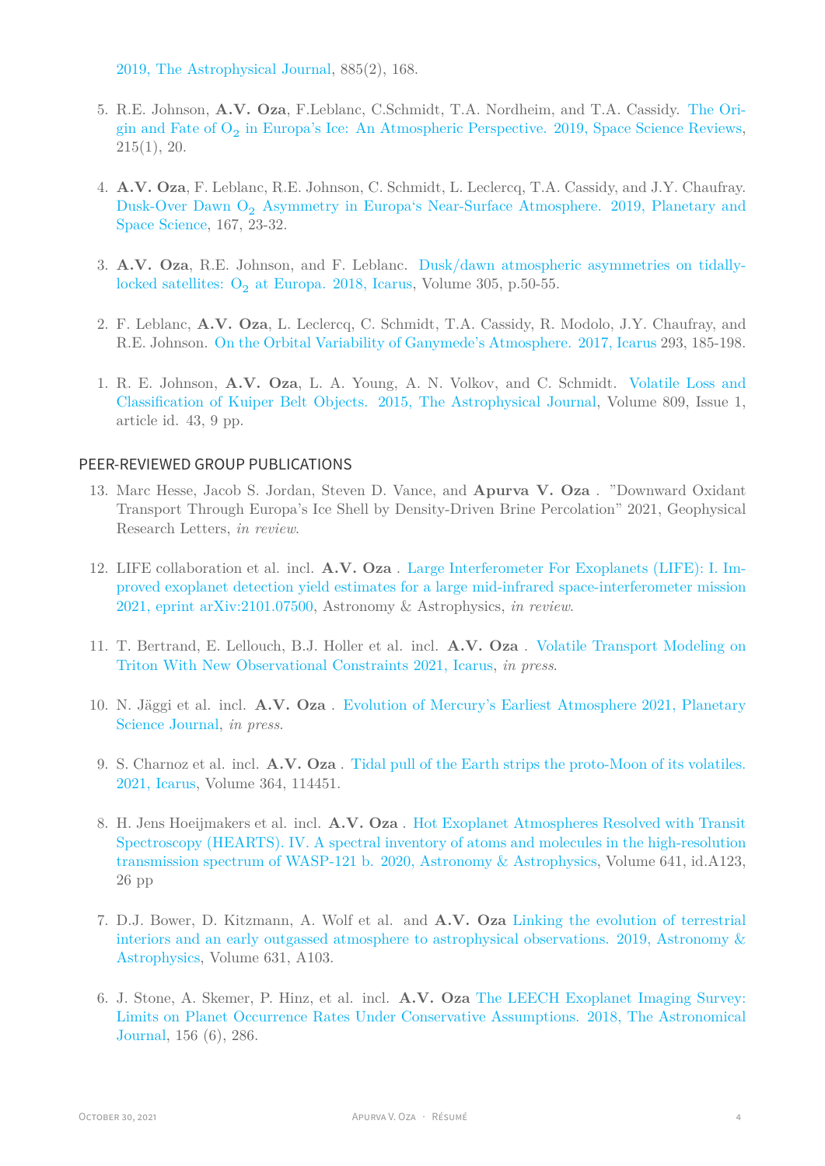[2019, The Astrophysical Journal](https://iopscience.iop.org/article/10.3847/1538-4357/ab40cc), 885(2), 168.

- 5. R.E. Johnson, **A.V. Oza**, F.Leblanc, C.Schmidt, T.A. Nordheim, and T.A. Cassidy. [The Ori](http://adsabs.harvard.edu/abs/2018arXiv180410589J)gin and Fate of  $O_2$  [in Europa's Ice: An Atmospheric Perspective. 2019, Space Science Reviews,](http://adsabs.harvard.edu/abs/2018arXiv180410589J) 215(1), 20.
- 4. **A.V. Oza**, F. Leblanc, R.E. Johnson, C. Schmidt, L. Leclercq, T.A. Cassidy, and J.Y. Chaufray. Dusk-Over Dawn O<sub>2</sub> [Asymmetry in Europa's Near-Surface Atmosphere. 2019, Planetary and](https://ui.adsabs.harvard.edu/abs/2019P%26SS..167...23O/abstract) [Space Science](https://ui.adsabs.harvard.edu/abs/2019P%26SS..167...23O/abstract), 167, 23-32.
- 3. **A.V. Oza**, R.E. Johnson, and F. Leblanc. [Dusk/dawn atmospheric asymmetries on tidally](https://ui.adsabs.harvard.edu/abs/2018Icar..305...50O/abstract)locked satellites:  $O_2$  [at Europa. 2018, Icarus,](https://ui.adsabs.harvard.edu/abs/2018Icar..305...50O/abstract) Volume 305, p.50-55.
- 2. F. Leblanc, **A.V. Oza**, L. Leclercq, C. Schmidt, T.A. Cassidy, R. Modolo, J.Y. Chaufray, and R.E. Johnson. [On the Orbital Variability of Ganymede's Atmosphere. 2017, Icarus](http://oza.page.latmos.ipsl.fr/publications/Leblanc_etal_2017_accepted.pdf) 293, 185-198.
- 1. R. E. Johnson, **A.V. Oza**, L. A. Young, A. N. Volkov, and C. Schmidt. [Volatile Loss and](http://adsabs.harvard.edu/abs/2015ApJ...809...43J) [Classification of Kuiper Belt Objects. 2015, The Astrophysical Journal,](http://adsabs.harvard.edu/abs/2015ApJ...809...43J) Volume 809, Issue 1, article id. 43, 9 pp.

## PEER-REVIEWED GROUP PUBLICATIONS

- 13. Marc Hesse, Jacob S. Jordan, Steven D. Vance, and **Apurva V. Oza** . "Downward Oxidant Transport Through Europa's Ice Shell by Density-Driven Brine Percolation" 2021, Geophysical Research Letters, *in review*.
- 12. LIFE collaboration et al. incl. **A.V. Oza** . [Large Interferometer For Exoplanets \(LIFE\): I. Im](https://arxiv.org/pdf/2006.11308.pdf)[proved exoplanet detection yield estimates for a large mid-infrared space-interferometer mission](https://arxiv.org/pdf/2006.11308.pdf) [2021, eprint arXiv:2101.07500](https://arxiv.org/pdf/2006.11308.pdf), Astronomy & Astrophysics, *in review*.
- 11. T. Bertrand, E. Lellouch, B.J. Holler et al. incl. **A.V. Oza** . [Volatile Transport Modeling on](https://ui.adsabs.harvard.edu/abs/2021arXiv211011992B/abstract) [Triton With New Observational Constraints 2021, Icarus,](https://ui.adsabs.harvard.edu/abs/2021arXiv211011992B/abstract) *in press*.
- 10. N. Jäggi et al. incl. **A.V. Oza** . [Evolution of Mercury's Earliest Atmosphere 2021, Planetary](https://ui.adsabs.harvard.edu/abs/2021arXiv211008093J/abstract) [Science Journal](https://ui.adsabs.harvard.edu/abs/2021arXiv211008093J/abstract), *in press*.
- 9. S. Charnoz et al. incl. **A.V. Oza** . [Tidal pull of the Earth strips the proto-Moon of its volatiles.](https://ui.adsabs.harvard.edu/abs/2021Icar..36414451C/abstract) [2021, Icarus](https://ui.adsabs.harvard.edu/abs/2021Icar..36414451C/abstract), Volume 364, 114451.
- 8. H. Jens Hoeijmakers et al. incl. **A.V. Oza** . [Hot Exoplanet Atmospheres Resolved with Transit](https://arxiv.org/pdf/2006.11308.pdf) [Spectroscopy \(HEARTS\). IV. A spectral inventory of atoms and molecules in the high-resolution](https://arxiv.org/pdf/2006.11308.pdf) [transmission spectrum of WASP-121 b. 2020, Astronomy & Astrophysics,](https://arxiv.org/pdf/2006.11308.pdf) Volume 641, id.A123, 26 pp
- 7. D.J. Bower, D. Kitzmann, A. Wolf et al. and **A.V. Oza** [Linking the evolution of terrestrial](https://www.aanda.org/articles/aa/abs/2019/11/aa35710-19/aa35710-19.html) [interiors and an early outgassed atmosphere to astrophysical observations. 2019, Astronomy &](https://www.aanda.org/articles/aa/abs/2019/11/aa35710-19/aa35710-19.html) [Astrophysics](https://www.aanda.org/articles/aa/abs/2019/11/aa35710-19/aa35710-19.html), Volume 631, A103.
- 6. J. Stone, A. Skemer, P. Hinz, et al. incl. **A.V. Oza** [The LEECH Exoplanet Imaging Survey:](http://adsabs.harvard.edu/abs/2018arXiv181010560S) [Limits on Planet Occurrence Rates Under Conservative Assumptions. 2018, The Astronomical](http://adsabs.harvard.edu/abs/2018arXiv181010560S) [Journal,](http://adsabs.harvard.edu/abs/2018arXiv181010560S) 156 (6), 286.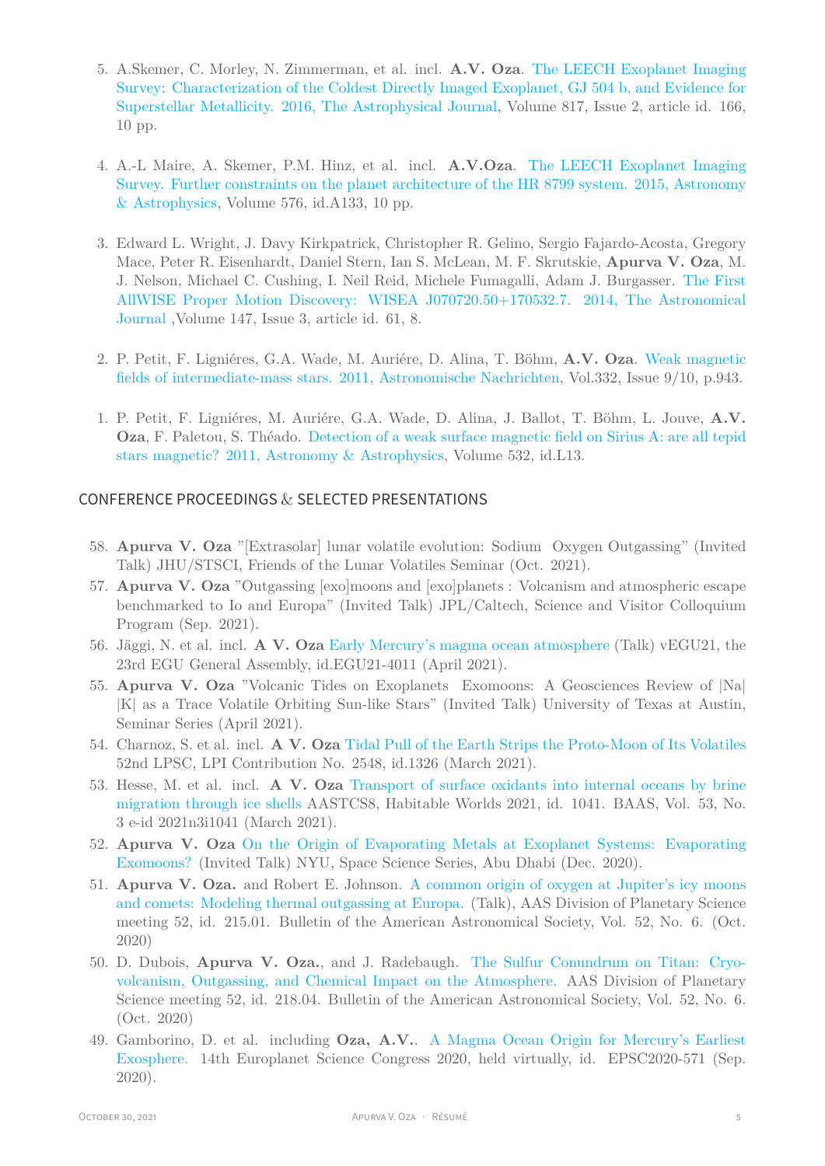- 5. A.Skemer, C. Morley, N. Zimmerman, et al. incl. **A.V. Oza**. [The LEECH Exoplanet Imaging](http://adsabs.harvard.edu/abs/2016ApJ...817..166S) [Survey: Characterization of the Coldest Directly Imaged Exoplanet, GJ 504 b, and Evidence for](http://adsabs.harvard.edu/abs/2016ApJ...817..166S) [Superstellar Metallicity. 2016, The Astrophysical Journal,](http://adsabs.harvard.edu/abs/2016ApJ...817..166S) Volume 817, Issue 2, article id. 166, 10 pp.
- 4. A.-L Maire, A. Skemer, P.M. Hinz, et al. incl. **A.V.Oza**. [The LEECH Exoplanet Imaging](http://www.aanda.org/articles/aa/pdf/2015/04/aa25185-14.pdf) [Survey. Further constraints on the planet architecture of the HR 8799 system. 2015, Astronomy](http://www.aanda.org/articles/aa/pdf/2015/04/aa25185-14.pdf) [& Astrophysics,](http://www.aanda.org/articles/aa/pdf/2015/04/aa25185-14.pdf) Volume 576, id.A133, 10 pp.
- 3. Edward L. Wright, J. Davy Kirkpatrick, Christopher R. Gelino, Sergio Fajardo-Acosta, Gregory Mace, Peter R. Eisenhardt, Daniel Stern, Ian S. McLean, M. F. Skrutskie, **Apurva V. Oza**, M. J. Nelson, Michael C. Cushing, I. Neil Reid, Michele Fumagalli, Adam J. Burgasser. [The First](http://adsabs.harvard.edu/abs/2014AJ....147...61W) [AllWISE Proper Motion Discovery: WISEA J070720.50+170532.7. 2014, The Astronomical](http://adsabs.harvard.edu/abs/2014AJ....147...61W) [Journal](http://adsabs.harvard.edu/abs/2014AJ....147...61W) ,Volume 147, Issue 3, article id. 61, 8.
- 2. P. Petit, F. Ligniéres, G.A. Wade, M. Auriére, D. Alina, T. Böhm, **A.V. Oza**. [Weak magnetic](http://adsabs.harvard.edu/abs/2011AN....332..943P) [fields of intermediate-mass stars. 2011, Astronomische Nachrichten,](http://adsabs.harvard.edu/abs/2011AN....332..943P) Vol.332, Issue 9/10, p.943.
- 1. P. Petit, F. Ligniéres, M. Auriére, G.A. Wade, D. Alina, J. Ballot, T. Böhm, L. Jouve, **A.V. Oza**, F. Paletou, S. Théado. [Detection of a weak surface magnetic field on Sirius A: are all tepid](http://tinyurl.com/pt75udf) [stars magnetic? 2011, Astronomy](http://tinyurl.com/pt75udf) & Astrophysics, Volume 532, id.L13.

## CONFERENCE PROCEEDINGS & SELECTED PRESENTATIONS

- 58. **Apurva V. Oza** "[Extrasolar] lunar volatile evolution: Sodium Oxygen Outgassing" (Invited Talk) JHU/STSCI, Friends of the Lunar Volatiles Seminar (Oct. 2021).
- 57. **Apurva V. Oza** "Outgassing [exo]moons and [exo]planets : Volcanism and atmospheric escape benchmarked to Io and Europa" (Invited Talk) JPL/Caltech, Science and Visitor Colloquium Program (Sep. 2021).
- 56. Jäggi, N. et al. incl. **A V. Oza** [Early Mercury's magma ocean atmosphere](https://ui.adsabs.harvard.edu/abs/2021EGUGA..23.4011J/abstract) (Talk) vEGU21, the 23rd EGU General Assembly, id.EGU21-4011 (April 2021).
- 55. **Apurva V. Oza** "Volcanic Tides on Exoplanets Exomoons: A Geosciences Review of |Na| |K| as a Trace Volatile Orbiting Sun-like Stars" (Invited Talk) University of Texas at Austin, Seminar Series (April 2021).
- 54. Charnoz, S. et al. incl. **A V. Oza** [Tidal Pull of the Earth Strips the Proto-Moon of Its Volatiles](https://ui.adsabs.harvard.edu/abs/2021LPI....52.1326C/abstract) 52nd LPSC, LPI Contribution No. 2548, id.1326 (March 2021).
- 53. Hesse, M. et al. incl. **A V. Oza** [Transport of surface oxidants into internal oceans by brine](https://ui.adsabs.harvard.edu/abs/2021BAAS...53c1041H/abstract) [migration through ice shells](https://ui.adsabs.harvard.edu/abs/2021BAAS...53c1041H/abstract) AASTCS8, Habitable Worlds 2021, id. 1041. BAAS, Vol. 53, No. 3 e-id 2021n3i1041 (March 2021).
- 52. **Apurva V. Oza** [On the Origin of Evaporating Metals at Exoplanet Systems: Evaporating]( https://youtu.be/RYjDJJQvLAs) [Exomoons?]( https://youtu.be/RYjDJJQvLAs) (Invited Talk) NYU, Space Science Series, Abu Dhabi (Dec. 2020).
- 51. **Apurva V. Oza.** and Robert E. Johnson. [A common origin of oxygen at Jupiter's icy moons](https://ui.adsabs.harvard.edu/abs/2020DPS....5221501O/abstract) [and comets: Modeling thermal outgassing at Europa.](https://ui.adsabs.harvard.edu/abs/2020DPS....5221501O/abstract) (Talk), AAS Division of Planetary Science meeting 52, id. 215.01. Bulletin of the American Astronomical Society, Vol. 52, No. 6. (Oct. 2020)
- 50. D. Dubois, **Apurva V. Oza.**, and J. Radebaugh. [The Sulfur Conundrum on Titan: Cryo](https://ui.adsabs.harvard.edu/abs/2020DPS....5221804D/abstract)[volcanism, Outgassing, and Chemical Impact on the Atmosphere.](https://ui.adsabs.harvard.edu/abs/2020DPS....5221804D/abstract) AAS Division of Planetary Science meeting 52, id. 218.04. Bulletin of the American Astronomical Society, Vol. 52, No. 6. (Oct. 2020)
- 49. Gamborino, D. et al. including **Oza, A.V.**. [A Magma Ocean Origin for Mercury's Earliest](https://ui.adsabs.harvard.edu/abs/2020EPSC...14..571G/abstract) [Exosphere.](https://ui.adsabs.harvard.edu/abs/2020EPSC...14..571G/abstract) 14th Europlanet Science Congress 2020, held virtually, id. EPSC2020-571 (Sep. 2020).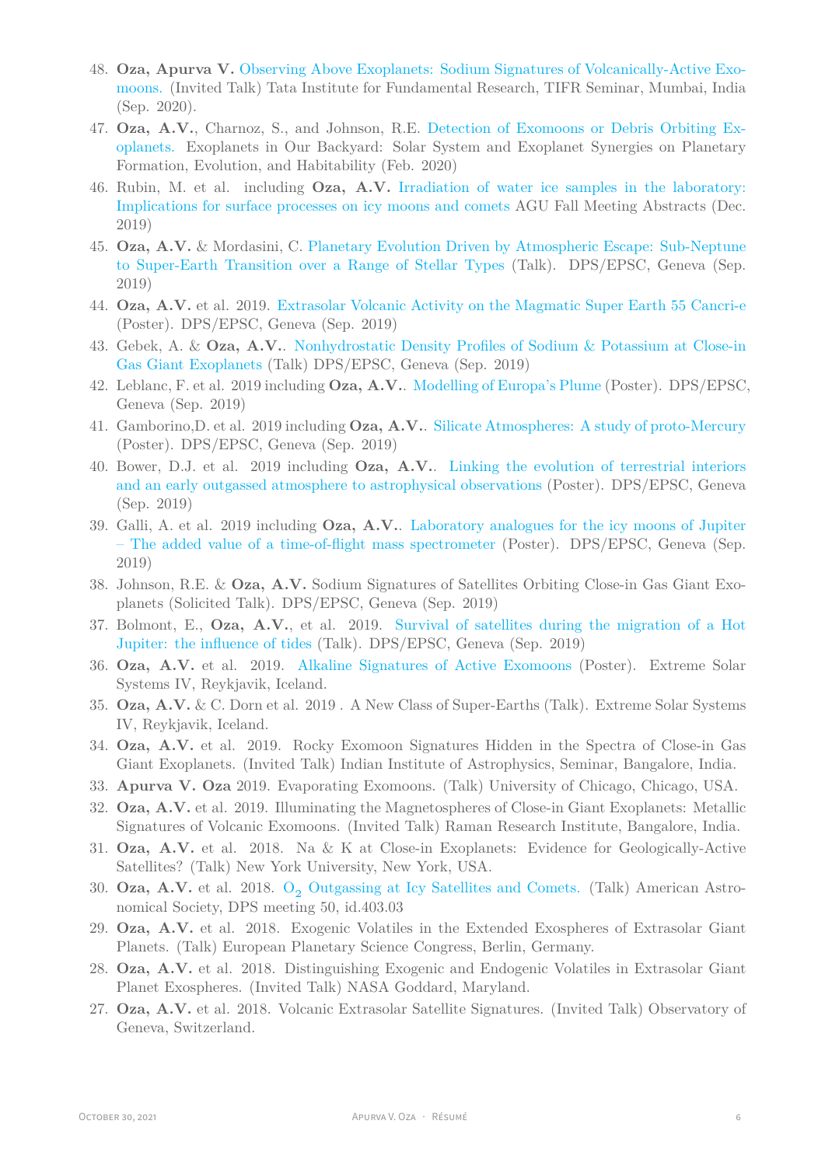- 48. **Oza, Apurva V.** [Observing Above Exoplanets: Sodium Signatures of Volcanically-Active Exo]( https://www.youtube.com/watch?v=HrFJ_i64y-8)[moons.]( https://www.youtube.com/watch?v=HrFJ_i64y-8) (Invited Talk) Tata Institute for Fundamental Research, TIFR Seminar, Mumbai, India (Sep. 2020).
- 47. **Oza, A.V.**, Charnoz, S., and Johnson, R.E. [Detection of Exomoons or Debris Orbiting Ex](https://ui.adsabs.harvard.edu/abs/2020LPICo2195.3047O/abstract)[oplanets.](https://ui.adsabs.harvard.edu/abs/2020LPICo2195.3047O/abstract) Exoplanets in Our Backyard: Solar System and Exoplanet Synergies on Planetary Formation, Evolution, and Habitability (Feb. 2020)
- 46. Rubin, M. et al. including **Oza, A.V.** [Irradiation of water ice samples in the laboratory:](https://ui.adsabs.harvard.edu/abs/2019AGUFM.P23A3467R/abstract) [Implications for surface processes on icy moons and comets](https://ui.adsabs.harvard.edu/abs/2019AGUFM.P23A3467R/abstract) AGU Fall Meeting Abstracts (Dec. 2019)
- 45. **Oza, A.V.** & Mordasini, C. [Planetary Evolution Driven by Atmospheric Escape: Sub-Neptune](https://ui.adsabs.harvard.edu/abs/2019EPSC...13.1507O/abstract) [to Super-Earth Transition over a Range of Stellar Types](https://ui.adsabs.harvard.edu/abs/2019EPSC...13.1507O/abstract) (Talk). DPS/EPSC, Geneva (Sep. 2019)
- 44. **Oza, A.V.** et al. 2019. [Extrasolar Volcanic Activity on the Magmatic Super Earth 55 Cancri-e](https://ui.adsabs.harvard.edu/abs/2019EPSC...13.1714O/abstract) (Poster). DPS/EPSC, Geneva (Sep. 2019)
- 43. Gebek, A. & **Oza, A.V.**. [Nonhydrostatic Density Profiles of Sodium & Potassium at Close-in](https://ui.adsabs.harvard.edu/abs/2019EPSC...13.1795G/abstract) [Gas Giant Exoplanets](https://ui.adsabs.harvard.edu/abs/2019EPSC...13.1795G/abstract) (Talk) DPS/EPSC, Geneva (Sep. 2019)
- 42. Leblanc, F. et al. 2019 including **Oza, A.V.**. [Modelling of Europa's Plume](https://ui.adsabs.harvard.edu/abs/2019EPSC...13..508L/abstract) (Poster). DPS/EPSC, Geneva (Sep. 2019)
- 41. Gamborino,D. et al. 2019 including **Oza, A.V.**. [Silicate Atmospheres: A study of proto-Mercury](https://ui.adsabs.harvard.edu/abs/2019EPSC...13.1672G/abstract) (Poster). DPS/EPSC, Geneva (Sep. 2019)
- 40. Bower, D.J. et al. 2019 including **Oza, A.V.**. [Linking the evolution of terrestrial interiors](https://ui.adsabs.harvard.edu/abs/2019EPSC...13..102B/abstract) [and an early outgassed atmosphere to astrophysical observations](https://ui.adsabs.harvard.edu/abs/2019EPSC...13..102B/abstract) (Poster). DPS/EPSC, Geneva (Sep. 2019)
- 39. Galli, A. et al. 2019 including **Oza, A.V.**. [Laboratory analogues for the icy moons of Jupiter](https://ui.adsabs.harvard.edu/abs/2019EPSC...13..138G/abstract) [– The added value of a time-of-flight mass spectrometer](https://ui.adsabs.harvard.edu/abs/2019EPSC...13..138G/abstract) (Poster). DPS/EPSC, Geneva (Sep. 2019)
- 38. Johnson, R.E. & **Oza, A.V.** Sodium Signatures of Satellites Orbiting Close-in Gas Giant Exoplanets (Solicited Talk). DPS/EPSC, Geneva (Sep. 2019)
- 37. Bolmont, E., **Oza, A.V.**, et al. 2019. [Survival of satellites during the migration of a Hot](https://ui.adsabs.harvard.edu/abs/2019EPSC...13.1590B/abstract) [Jupiter: the influence of tides](https://ui.adsabs.harvard.edu/abs/2019EPSC...13.1590B/abstract) (Talk). DPS/EPSC, Geneva (Sep. 2019)
- 36. **Oza, A.V.** et al. 2019. [Alkaline Signatures of Active Exomoons](https://ui.adsabs.harvard.edu/abs/2019ESS.....430605O/abstract) (Poster). Extreme Solar Systems IV, Reykjavik, Iceland.
- 35. **Oza, A.V.** & C. Dorn et al. 2019 . A New Class of Super-Earths (Talk). Extreme Solar Systems IV, Reykjavik, Iceland.
- 34. **Oza, A.V.** et al. 2019. Rocky Exomoon Signatures Hidden in the Spectra of Close-in Gas Giant Exoplanets. (Invited Talk) Indian Institute of Astrophysics, Seminar, Bangalore, India.
- 33. **Apurva V. Oza** 2019. Evaporating Exomoons. (Talk) University of Chicago, Chicago, USA.
- 32. **Oza, A.V.** et al. 2019. Illuminating the Magnetospheres of Close-in Giant Exoplanets: Metallic Signatures of Volcanic Exomoons. (Invited Talk) Raman Research Institute, Bangalore, India.
- 31. **Oza, A.V.** et al. 2018. Na & K at Close-in Exoplanets: Evidence for Geologically-Active Satellites? (Talk) New York University, New York, USA.
- 30. **Oza, A.V.** et al. 2018. O<sub>2</sub> [Outgassing at Icy Satellites and Comets.](http://adsabs.harvard.edu/abs/2018DPS....5040303O) (Talk) American Astronomical Society, DPS meeting 50, id.403.03
- 29. **Oza, A.V.** et al. 2018. Exogenic Volatiles in the Extended Exospheres of Extrasolar Giant Planets. (Talk) European Planetary Science Congress, Berlin, Germany.
- 28. **Oza, A.V.** et al. 2018. Distinguishing Exogenic and Endogenic Volatiles in Extrasolar Giant Planet Exospheres. (Invited Talk) NASA Goddard, Maryland.
- 27. **Oza, A.V.** et al. 2018. Volcanic Extrasolar Satellite Signatures. (Invited Talk) Observatory of Geneva, Switzerland.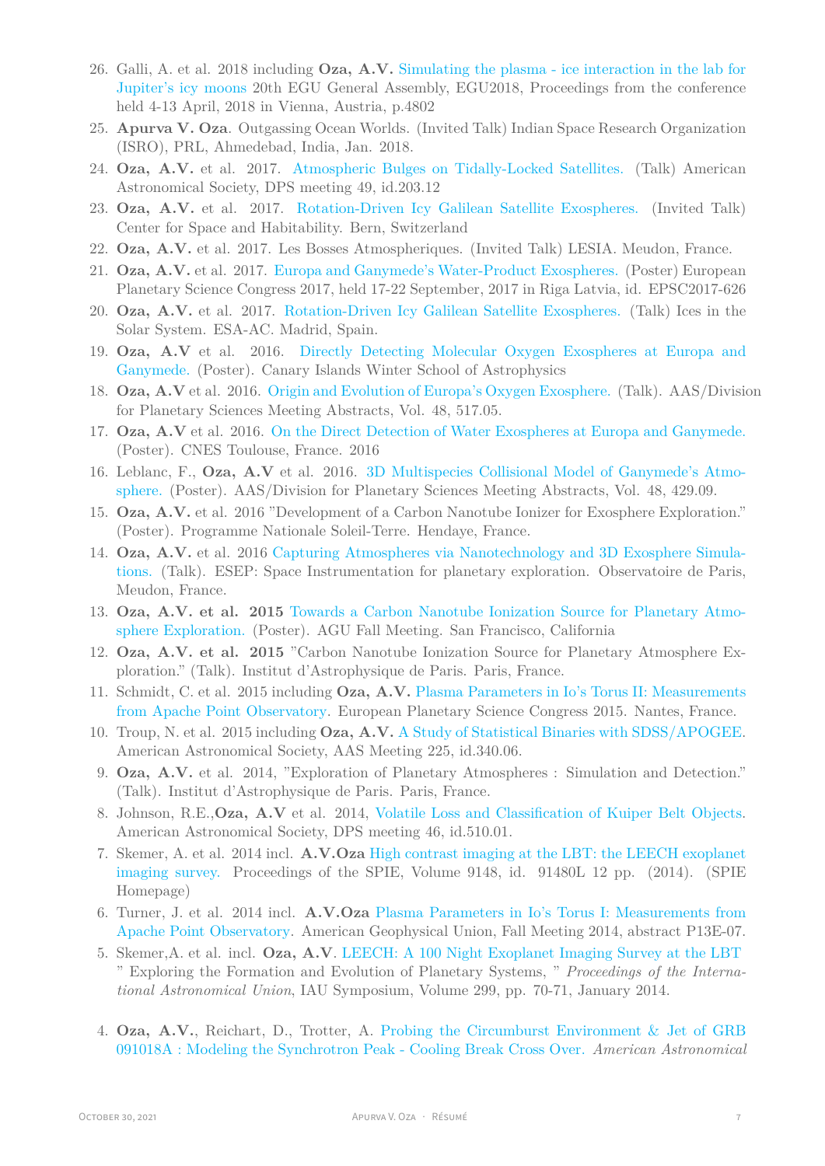- 26. Galli, A. et al. 2018 including **Oza, A.V.** [Simulating the plasma ice interaction in the lab for](http://adsabs.harvard.edu/abs/2018EGUGA..20.4802G) [Jupiter's icy moons](http://adsabs.harvard.edu/abs/2018EGUGA..20.4802G) 20th EGU General Assembly, EGU2018, Proceedings from the conference held 4-13 April, 2018 in Vienna, Austria, p.4802
- 25. **Apurva V. Oza**. Outgassing Ocean Worlds. (Invited Talk) Indian Space Research Organization (ISRO), PRL, Ahmedebad, India, Jan. 2018.
- 24. **Oza, A.V.** et al. 2017. [Atmospheric Bulges on Tidally-Locked Satellites.](http://adsabs.harvard.edu/abs/2017DPS....4920312O) (Talk) American Astronomical Society, DPS meeting 49, id.203.12
- 23. **Oza, A.V.** et al. 2017. [Rotation-Driven Icy Galilean Satellite Exospheres.](http://oza.page.latmos.ipsl.fr/publications/Oza_etal_2017B.pdf) (Invited Talk) Center for Space and Habitability. Bern, Switzerland
- 22. **Oza, A.V.** et al. 2017. Les Bosses Atmospheriques. (Invited Talk) LESIA. Meudon, France.
- 21. **Oza, A.V.** et al. 2017. [Europa and Ganymede's Water-Product Exospheres.](http://adsabs.harvard.edu/abs/2017EPSC...11..626O) (Poster) European Planetary Science Congress 2017, held 17-22 September, 2017 in Riga Latvia, id. EPSC2017-626
- 20. **Oza, A.V.** et al. 2017. [Rotation-Driven Icy Galilean Satellite Exospheres.](http://oza.page.latmos.ipsl.fr/publications/Oza_etal_2017B.pdf) (Talk) Ices in the Solar System. ESA-AC. Madrid, Spain.
- 19. **Oza, A.V** et al. 2016. [Directly Detecting Molecular Oxygen Exospheres at Europa and](http://adsabs.harvard.edu/abs/2016DPS....4851705O) [Ganymede.](http://adsabs.harvard.edu/abs/2016DPS....4851705O) (Poster). Canary Islands Winter School of Astrophysics
- 18. **Oza, A.V** et al. 2016. [Origin and Evolution of Europa's Oxygen Exosphere.](http://adsabs.harvard.edu/abs/2016DPS....4851705O) (Talk). AAS/Division for Planetary Sciences Meeting Abstracts, Vol. 48, 517.05.
- 17. **Oza, A.V** et al. 2016. [On the Direct Detection of Water Exospheres at Europa and Ganymede.](http://adsabs.harvard.edu/abs/2016DPS....4851705O) (Poster). CNES Toulouse, France. 2016
- 16. Leblanc, F., **Oza, A.V** et al. 2016. [3D Multispecies Collisional Model of Ganymede's Atmo](http://adsabs.harvard.edu/abs/2016DPS....4842909L)[sphere.](http://adsabs.harvard.edu/abs/2016DPS....4842909L) (Poster). AAS/Division for Planetary Sciences Meeting Abstracts, Vol. 48, 429.09.
- 15. **Oza, A.V.** et al. 2016 "Development of a Carbon Nanotube Ionizer for Exosphere Exploration." (Poster). Programme Nationale Soleil-Terre. Hendaye, France.
- 14. **Oza, A.V.** et al. 2016 [Capturing Atmospheres via Nanotechnology and 3D Exosphere Simula](http://www.esep.pro/-5eme-Journee-Instrumentation-.html)[tions.](http://www.esep.pro/-5eme-Journee-Instrumentation-.html) (Talk). ESEP: Space Instrumentation for planetary exploration. Observatoire de Paris, Meudon, France.
- 13. **Oza, A.V. et al. 2015** [Towards a Carbon Nanotube Ionization Source for Planetary Atmo](http://adsabs.harvard.edu/abs/2015AGUFM.P11B2071O)[sphere Exploration.](http://adsabs.harvard.edu/abs/2015AGUFM.P11B2071O) (Poster). AGU Fall Meeting. San Francisco, California
- 12. **Oza, A.V. et al. 2015** "Carbon Nanotube Ionization Source for Planetary Atmosphere Exploration." (Talk). Institut d'Astrophysique de Paris. Paris, France.
- 11. Schmidt, C. et al. 2015 including **Oza, A.V.** [Plasma Parameters in Io's Torus II: Measurements](http://adsabs.harvard.edu/abs/2015EPSC...10..418S) [from Apache Point Observatory](http://adsabs.harvard.edu/abs/2015EPSC...10..418S). European Planetary Science Congress 2015. Nantes, France.
- 10. Troup, N. et al. 2015 including **Oza, A.V.** [A Study of Statistical Binaries with SDSS/APOGEE.](http://adsabs.harvard.edu/abs/2015AAS...22534006N) American Astronomical Society, AAS Meeting 225, id.340.06.
- 9. **Oza, A.V.** et al. 2014, "Exploration of Planetary Atmospheres : Simulation and Detection." (Talk). Institut d'Astrophysique de Paris. Paris, France.
- 8. Johnson, R.E.,**Oza, A.V** et al. 2014, [Volatile Loss and Classification of Kuiper Belt Objects.](http://adsabs.harvard.edu/abs/2014DPS....4651001J) American Astronomical Society, DPS meeting 46, id.510.01.
- 7. Skemer, A. et al. 2014 incl. **A.V.Oza** [High contrast imaging at the LBT: the LEECH exoplanet](http://adsabs.harvard.edu/abs/2014SPIE.9148E..0LS) [imaging survey.](http://adsabs.harvard.edu/abs/2014SPIE.9148E..0LS) Proceedings of the SPIE, Volume 9148, id. 91480L 12 pp. (2014). (SPIE Homepage)
- 6. Turner, J. et al. 2014 incl. **A.V.Oza** [Plasma Parameters in Io's Torus I: Measurements from](http://adsabs.harvard.edu/abs/2014AGUFM.P13E..07T) [Apache Point Observatory.](http://adsabs.harvard.edu/abs/2014AGUFM.P13E..07T) American Geophysical Union, Fall Meeting 2014, abstract P13E-07.
- 5. Skemer,A. et al. incl. **Oza, A.V**. [LEECH: A 100 Night Exoplanet Imaging Survey at the LBT](http://adsabs.harvard.edu/abs/2014IAUS..299...70S) " Exploring the Formation and Evolution of Planetary Systems, " *Proceedings of the International Astronomical Union*, IAU Symposium, Volume 299, pp. 70-71, January 2014.
- 4. **Oza, A.V.**, Reichart, D., Trotter, A. [Probing the Circumburst Environment](http://adsabs.harvard.edu/abs/2012AAS...21944209O) & Jet of GRB [091018A : Modeling the Synchrotron Peak - Cooling Break Cross Over.](http://adsabs.harvard.edu/abs/2012AAS...21944209O) *American Astronomical*